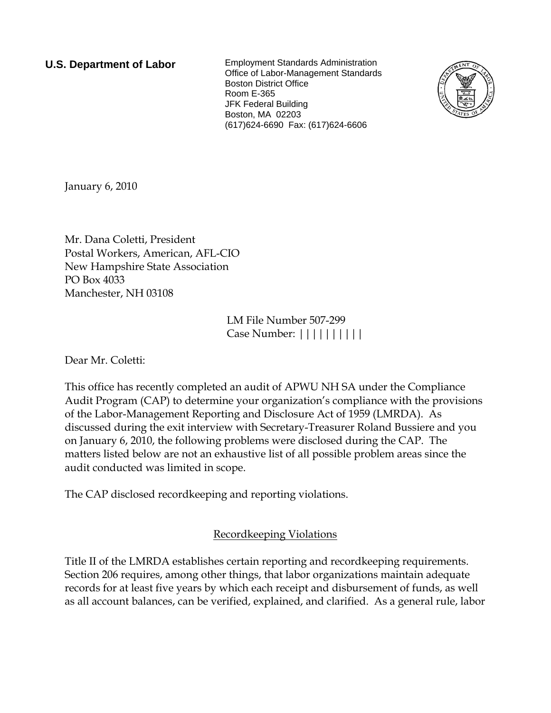**U.S. Department of Labor** Employment Standards Administration Office of Labor-Management Standards Boston District Office Room E-365 JFK Federal Building Boston, MA 02203 (617)624-6690 Fax: (617)624-6606



January 6, 2010

Mr. Dana Coletti, President Postal Workers, American, AFL-CIO New Hampshire State Association PO Box 4033 Manchester, NH 03108

> LM File Number 507-299 Case Number: ||||||||||

Dear Mr. Coletti:

This office has recently completed an audit of APWU NH SA under the Compliance Audit Program (CAP) to determine your organization's compliance with the provisions of the Labor-Management Reporting and Disclosure Act of 1959 (LMRDA). As discussed during the exit interview with Secretary-Treasurer Roland Bussiere and you on January 6, 2010, the following problems were disclosed during the CAP. The matters listed below are not an exhaustive list of all possible problem areas since the audit conducted was limited in scope.

The CAP disclosed recordkeeping and reporting violations.

## Recordkeeping Violations

Title II of the LMRDA establishes certain reporting and recordkeeping requirements. Section 206 requires, among other things, that labor organizations maintain adequate records for at least five years by which each receipt and disbursement of funds, as well as all account balances, can be verified, explained, and clarified. As a general rule, labor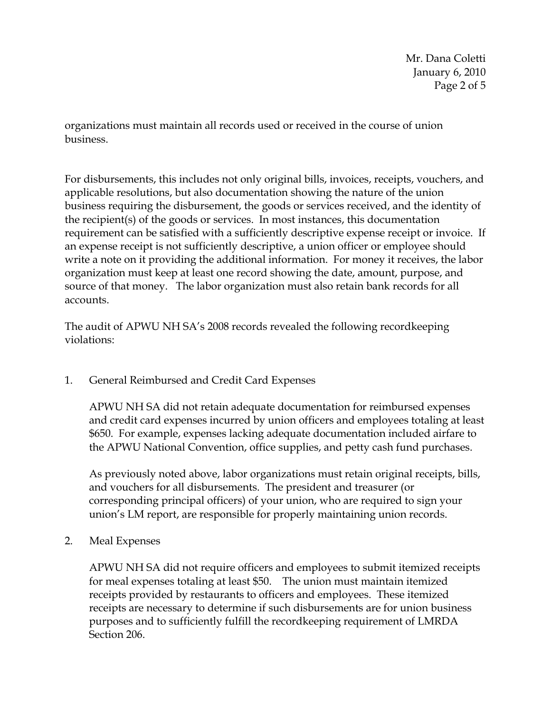Mr. Dana Coletti January 6, 2010 Page 2 of 5

organizations must maintain all records used or received in the course of union business.

For disbursements, this includes not only original bills, invoices, receipts, vouchers, and applicable resolutions, but also documentation showing the nature of the union business requiring the disbursement, the goods or services received, and the identity of the recipient(s) of the goods or services. In most instances, this documentation requirement can be satisfied with a sufficiently descriptive expense receipt or invoice. If an expense receipt is not sufficiently descriptive, a union officer or employee should write a note on it providing the additional information. For money it receives, the labor organization must keep at least one record showing the date, amount, purpose, and source of that money. The labor organization must also retain bank records for all accounts.

The audit of APWU NH SA's 2008 records revealed the following recordkeeping violations:

1. General Reimbursed and Credit Card Expenses

APWU NH SA did not retain adequate documentation for reimbursed expenses and credit card expenses incurred by union officers and employees totaling at least \$650. For example, expenses lacking adequate documentation included airfare to the APWU National Convention, office supplies, and petty cash fund purchases.

As previously noted above, labor organizations must retain original receipts, bills, and vouchers for all disbursements. The president and treasurer (or corresponding principal officers) of your union, who are required to sign your union's LM report, are responsible for properly maintaining union records.

2. Meal Expenses

APWU NH SA did not require officers and employees to submit itemized receipts for meal expenses totaling at least \$50. The union must maintain itemized receipts provided by restaurants to officers and employees. These itemized receipts are necessary to determine if such disbursements are for union business purposes and to sufficiently fulfill the recordkeeping requirement of LMRDA Section 206.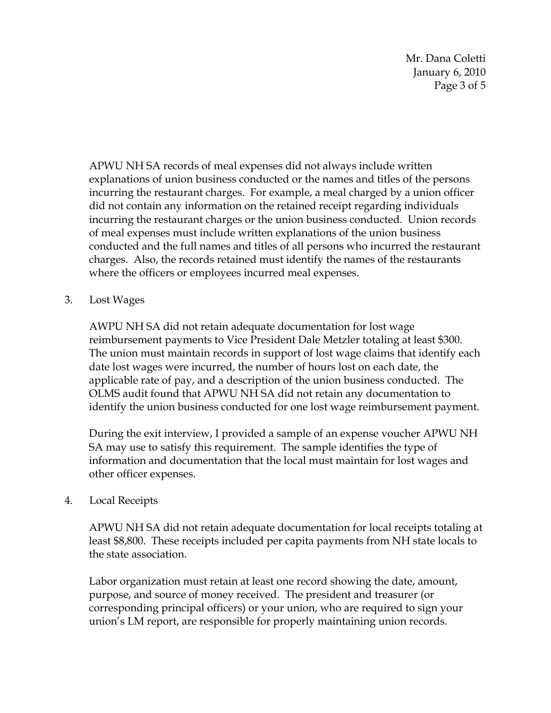Mr. Dana Coletti January 6, 2010 Page 3 of 5

APWU NH SA records of meal expenses did not always include written explanations of union business conducted or the names and titles of the persons incurring the restaurant charges. For example, a meal charged by a union officer did not contain any information on the retained receipt regarding individuals incurring the restaurant charges or the union business conducted. Union records of meal expenses must include written explanations of the union business conducted and the full names and titles of all persons who incurred the restaurant charges. Also, the records retained must identify the names of the restaurants where the officers or employees incurred meal expenses.

3. Lost Wages

AWPU NH SA did not retain adequate documentation for lost wage reimbursement payments to Vice President Dale Metzler totaling at least \$300. The union must maintain records in support of lost wage claims that identify each date lost wages were incurred, the number of hours lost on each date, the applicable rate of pay, and a description of the union business conducted. The OLMS audit found that APWU NH SA did not retain any documentation to identify the union business conducted for one lost wage reimbursement payment.

During the exit interview, I provided a sample of an expense voucher APWU NH SA may use to satisfy this requirement. The sample identifies the type of information and documentation that the local must maintain for lost wages and other officer expenses.

## 4. Local Receipts

APWU NH SA did not retain adequate documentation for local receipts totaling at least \$8,800. These receipts included per capita payments from NH state locals to the state association.

Labor organization must retain at least one record showing the date, amount, purpose, and source of money received. The president and treasurer (or corresponding principal officers) or your union, who are required to sign your union's LM report, are responsible for properly maintaining union records.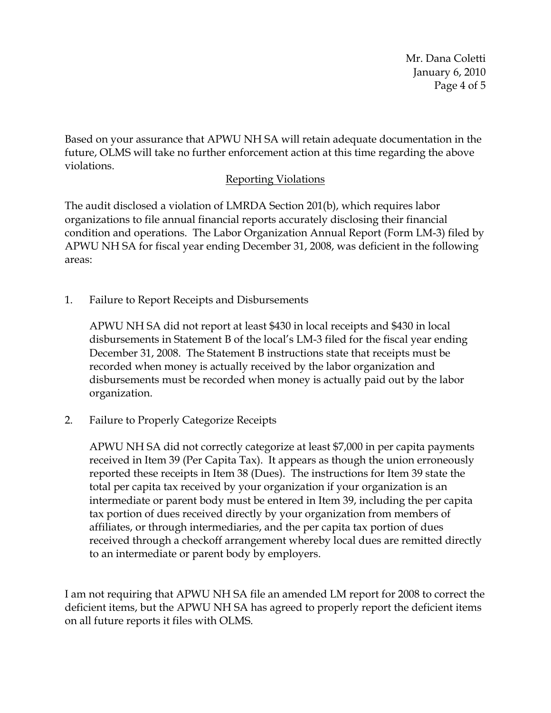Mr. Dana Coletti January 6, 2010 Page 4 of 5

Based on your assurance that APWU NH SA will retain adequate documentation in the future, OLMS will take no further enforcement action at this time regarding the above violations.

## Reporting Violations

The audit disclosed a violation of LMRDA Section 201(b), which requires labor organizations to file annual financial reports accurately disclosing their financial condition and operations. The Labor Organization Annual Report (Form LM-3) filed by APWU NH SA for fiscal year ending December 31, 2008, was deficient in the following areas:

1. Failure to Report Receipts and Disbursements

APWU NH SA did not report at least \$430 in local receipts and \$430 in local disbursements in Statement B of the local's LM-3 filed for the fiscal year ending December 31, 2008. The Statement B instructions state that receipts must be recorded when money is actually received by the labor organization and disbursements must be recorded when money is actually paid out by the labor organization.

2. Failure to Properly Categorize Receipts

APWU NH SA did not correctly categorize at least \$7,000 in per capita payments received in Item 39 (Per Capita Tax). It appears as though the union erroneously reported these receipts in Item 38 (Dues). The instructions for Item 39 state the total per capita tax received by your organization if your organization is an intermediate or parent body must be entered in Item 39, including the per capita tax portion of dues received directly by your organization from members of affiliates, or through intermediaries, and the per capita tax portion of dues received through a checkoff arrangement whereby local dues are remitted directly to an intermediate or parent body by employers.

I am not requiring that APWU NH SA file an amended LM report for 2008 to correct the deficient items, but the APWU NH SA has agreed to properly report the deficient items on all future reports it files with OLMS.